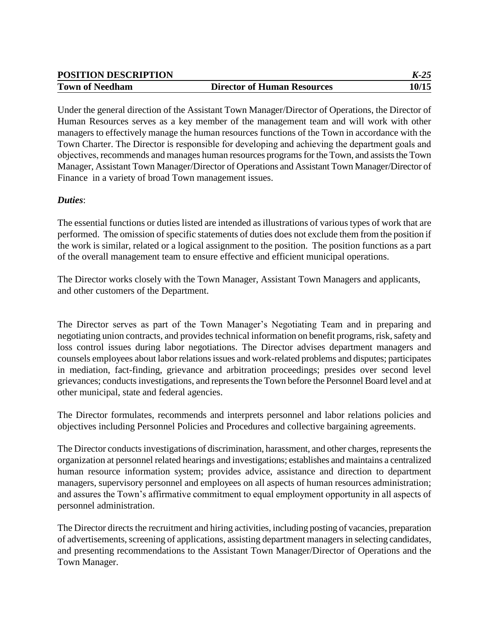| <b>POSITION DESCRIPTION</b> |                                    | $K-25$ |
|-----------------------------|------------------------------------|--------|
| <b>Town of Needham</b>      | <b>Director of Human Resources</b> | 10/15  |

Under the general direction of the Assistant Town Manager/Director of Operations, the Director of Human Resources serves as a key member of the management team and will work with other managers to effectively manage the human resources functions of the Town in accordance with the Town Charter. The Director is responsible for developing and achieving the department goals and objectives, recommends and manages human resources programs for the Town, and assists the Town Manager, Assistant Town Manager/Director of Operations and Assistant Town Manager/Director of Finance in a variety of broad Town management issues.

### *Duties*:

The essential functions or duties listed are intended as illustrations of various types of work that are performed. The omission of specific statements of duties does not exclude them from the position if the work is similar, related or a logical assignment to the position. The position functions as a part of the overall management team to ensure effective and efficient municipal operations.

The Director works closely with the Town Manager, Assistant Town Managers and applicants, and other customers of the Department.

The Director serves as part of the Town Manager's Negotiating Team and in preparing and negotiating union contracts, and provides technical information on benefit programs, risk, safety and loss control issues during labor negotiations. The Director advises department managers and counsels employees about labor relations issues and work-related problems and disputes; participates in mediation, fact-finding, grievance and arbitration proceedings; presides over second level grievances; conducts investigations, and represents the Town before the Personnel Board level and at other municipal, state and federal agencies.

The Director formulates, recommends and interprets personnel and labor relations policies and objectives including Personnel Policies and Procedures and collective bargaining agreements.

The Director conducts investigations of discrimination, harassment, and other charges, represents the organization at personnel related hearings and investigations; establishes and maintains a centralized human resource information system; provides advice, assistance and direction to department managers, supervisory personnel and employees on all aspects of human resources administration; and assures the Town's affirmative commitment to equal employment opportunity in all aspects of personnel administration.

The Director directs the recruitment and hiring activities, including posting of vacancies, preparation of advertisements, screening of applications, assisting department managers in selecting candidates*,*  and presenting recommendations to the Assistant Town Manager/Director of Operations and the Town Manager.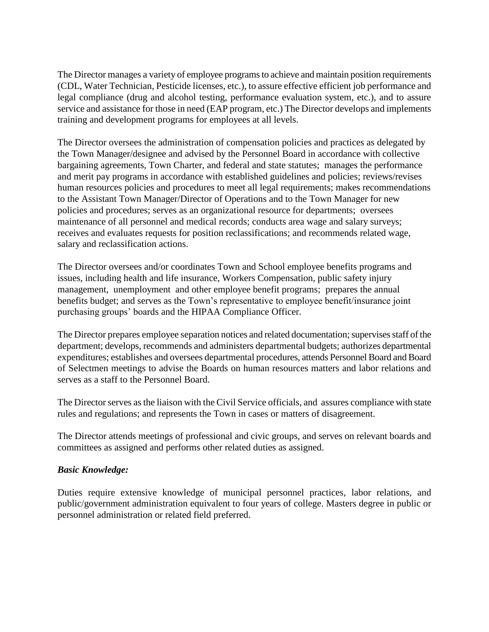The Director manages a variety of employee programs to achieve and maintain position requirements (CDL, Water Technician, Pesticide licenses, etc.), to assure effective efficient job performance and legal compliance (drug and alcohol testing, performance evaluation system, etc.), and to assure service and assistance for those in need (EAP program, etc.) The Director develops and implements training and development programs for employees at all levels.

The Director oversees the administration of compensation policies and practices as delegated by the Town Manager/designee and advised by the Personnel Board in accordance with collective bargaining agreements, Town Charter, and federal and state statutes; manages the performance and merit pay programs in accordance with established guidelines and policies; reviews/revises human resources policies and procedures to meet all legal requirements; makes recommendations to the Assistant Town Manager/Director of Operations and to the Town Manager for new policies and procedures; serves as an organizational resource for departments; oversees maintenance of all personnel and medical records; conducts area wage and salary surveys; receives and evaluates requests for position reclassifications; and recommends related wage, salary and reclassification actions.

The Director oversees and/or coordinates Town and School employee benefits programs and issues, including health and life insurance, Workers Compensation, public safety injury management, unemployment and other employee benefit programs; prepares the annual benefits budget; and serves as the Town's representative to employee benefit/insurance joint purchasing groups' boards and the HIPAA Compliance Officer.

The Director prepares employee separation notices and related documentation; supervises staff of the department; develops, recommends and administers departmental budgets; authorizes departmental expenditures; establishes and oversees departmental procedures, attends Personnel Board and Board of Selectmen meetings to advise the Boards on human resources matters and labor relations and serves as a staff to the Personnel Board.

The Director serves as the liaison with the Civil Service officials, and assures compliance with state rules and regulations; and represents the Town in cases or matters of disagreement.

The Director attends meetings of professional and civic groups, and serves on relevant boards and committees as assigned and performs other related duties as assigned.

# *Basic Knowledge:*

Duties require extensive knowledge of municipal personnel practices, labor relations, and public/government administration equivalent to four years of college. Masters degree in public or personnel administration or related field preferred.